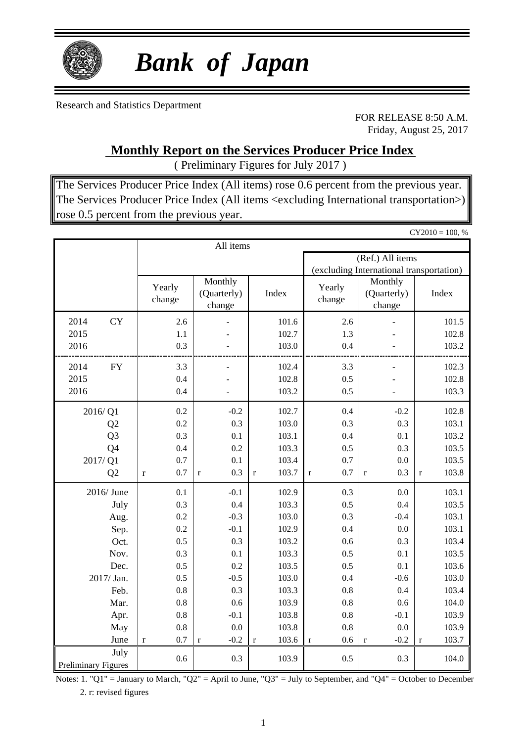

# *Bank of Japan*

Research and Statistics Department

FOR RELEASE 8:50 A.M. Friday, August 25, 2017

 $CY2010 = 100, %$ 

**Monthly Report on the Services Producer Price Index**

( Preliminary Figures for July 2017 )

The Services Producer Price Index (All items) rose 0.6 percent from the previous year. The Services Producer Price Index (All items <excluding International transportation>) rose 0.5 percent from the previous year.

|                                    | All items          |                                  |                      |                    |                                          |                      |  |  |  |  |  |
|------------------------------------|--------------------|----------------------------------|----------------------|--------------------|------------------------------------------|----------------------|--|--|--|--|--|
|                                    |                    |                                  |                      |                    | (Ref.) All items                         |                      |  |  |  |  |  |
|                                    |                    |                                  |                      |                    | (excluding International transportation) |                      |  |  |  |  |  |
|                                    | Yearly<br>change   | Monthly<br>(Quarterly)<br>change | Index                | Yearly<br>change   | Monthly<br>(Quarterly)<br>change         | Index                |  |  |  |  |  |
| 2014<br><b>CY</b>                  | 2.6                |                                  | 101.6                | 2.6                |                                          | 101.5                |  |  |  |  |  |
| 2015                               | 1.1                |                                  | 102.7                | 1.3                |                                          | 102.8                |  |  |  |  |  |
| 2016                               | 0.3                |                                  | 103.0                | 0.4                |                                          | 103.2                |  |  |  |  |  |
| 2014<br><b>FY</b>                  | 3.3                | L.                               | 102.4                | 3.3                | L                                        | 102.3                |  |  |  |  |  |
| 2015                               | 0.4                |                                  | 102.8                | 0.5                |                                          | 102.8                |  |  |  |  |  |
| 2016                               | 0.4                | ÷.                               | 103.2                | 0.5                | ÷,                                       | 103.3                |  |  |  |  |  |
| 2016/Q1                            | 0.2                | $-0.2$                           | 102.7                | 0.4                | $-0.2$                                   | 102.8                |  |  |  |  |  |
| Q2                                 | 0.2                | 0.3                              | 103.0                | 0.3                | 0.3                                      | 103.1                |  |  |  |  |  |
| Q <sub>3</sub>                     | 0.3                | 0.1                              | 103.1                | 0.4                | 0.1                                      | 103.2                |  |  |  |  |  |
| Q4                                 | 0.4                | 0.2                              | 103.3                | 0.5                | 0.3                                      | 103.5                |  |  |  |  |  |
| 2017/Q1                            | 0.7                | 0.1                              | 103.4                | 0.7                | 0.0                                      | 103.5                |  |  |  |  |  |
| Q2                                 | 0.7<br>$\mathbf r$ | 0.3<br>$\mathbf{r}$              | 103.7<br>$\mathbf r$ | 0.7<br>$\mathbf r$ | 0.3<br>$\mathbf{r}$                      | 103.8<br>$\mathbf r$ |  |  |  |  |  |
| 2016/June                          | 0.1                | $-0.1$                           | 102.9                | 0.3                | 0.0                                      | 103.1                |  |  |  |  |  |
| July                               | 0.3                | 0.4                              | 103.3                | 0.5                | 0.4                                      | 103.5                |  |  |  |  |  |
| Aug.                               | 0.2                | $-0.3$                           | 103.0                | 0.3                | $-0.4$                                   | 103.1                |  |  |  |  |  |
| Sep.                               | 0.2                | $-0.1$                           | 102.9                | 0.4                | 0.0                                      | 103.1                |  |  |  |  |  |
| Oct.                               | 0.5                | 0.3                              | 103.2                | 0.6                | 0.3                                      | 103.4                |  |  |  |  |  |
| Nov.                               | 0.3                | 0.1                              | 103.3                | 0.5                | 0.1                                      | 103.5                |  |  |  |  |  |
| Dec.                               | 0.5                | 0.2                              | 103.5                | 0.5                | 0.1                                      | 103.6                |  |  |  |  |  |
| 2017/ Jan.                         | 0.5                | $-0.5$                           | 103.0                | 0.4                | $-0.6$                                   | 103.0                |  |  |  |  |  |
| Feb.                               | 0.8                | 0.3                              | 103.3                | 0.8                | 0.4                                      | 103.4                |  |  |  |  |  |
| Mar.                               | 0.8                | 0.6                              | 103.9                | 0.8                | 0.6                                      | 104.0                |  |  |  |  |  |
| Apr.                               | 0.8                | $-0.1$                           | 103.8                | 0.8                | $-0.1$                                   | 103.9                |  |  |  |  |  |
| May                                | 0.8                | 0.0                              | 103.8                | 0.8                | 0.0                                      | 103.9                |  |  |  |  |  |
| June                               | 0.7<br>$\mathbf r$ | $-0.2$<br>$\mathbf r$            | 103.6<br>$\mathbf r$ | 0.6<br>$\mathbf r$ | $-0.2$<br>$\mathbf r$                    | 103.7<br>$\mathbf r$ |  |  |  |  |  |
| July<br><b>Preliminary Figures</b> | 0.6                | 0.3                              | 103.9                | 0.5                | 0.3                                      | 104.0                |  |  |  |  |  |

Notes: 1. "Q1" = January to March, "Q2" = April to June, "Q3" = July to September, and "Q4" = October to December 2. r: revised figures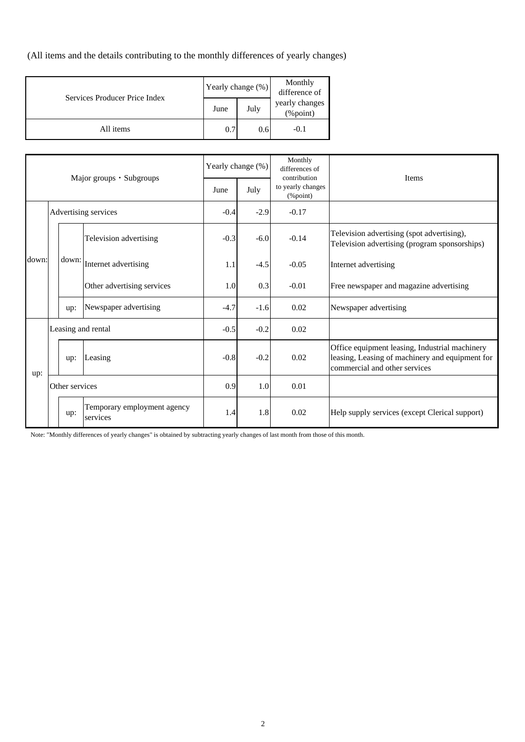(All items and the details contributing to the monthly differences of yearly changes)

| Services Producer Price Index |      | Yearly change (%) | Monthly<br>difference of       |  |
|-------------------------------|------|-------------------|--------------------------------|--|
|                               | June | July              | yearly changes<br>$(\%$ point) |  |
| All items                     | 0.7  | 0.6               | $-0.1$                         |  |

| Major groups · Subgroups |  | Yearly change (%)  |                                         | Monthly<br>differences of<br>contribution | <b>Items</b> |                               |                                                                                                                                    |  |  |
|--------------------------|--|--------------------|-----------------------------------------|-------------------------------------------|--------------|-------------------------------|------------------------------------------------------------------------------------------------------------------------------------|--|--|
|                          |  |                    |                                         | June                                      | July         | to yearly changes<br>(%point) |                                                                                                                                    |  |  |
| Advertising services     |  | $-0.4$             | $-2.9$                                  | $-0.17$                                   |              |                               |                                                                                                                                    |  |  |
|                          |  |                    | Television advertising                  | $-0.3$                                    | $-6.0$       | $-0.14$                       | Television advertising (spot advertising),<br>Television advertising (program sponsorships)                                        |  |  |
| down:                    |  | down:              | Internet advertising                    | 1.1                                       | $-4.5$       | $-0.05$                       | Internet advertising                                                                                                               |  |  |
|                          |  |                    | Other advertising services              | 1.0                                       | 0.3          | $-0.01$                       | Free newspaper and magazine advertising                                                                                            |  |  |
|                          |  | up:                | Newspaper advertising                   | $-4.7$                                    | $-1.6$       | 0.02                          | Newspaper advertising                                                                                                              |  |  |
|                          |  | Leasing and rental |                                         | $-0.5$                                    | $-0.2$       | 0.02                          |                                                                                                                                    |  |  |
| up:                      |  | up:                | Leasing                                 | $-0.8$                                    | $-0.2$       | 0.02                          | Office equipment leasing, Industrial machinery<br>leasing, Leasing of machinery and equipment for<br>commercial and other services |  |  |
|                          |  | Other services     |                                         | 0.9                                       | 1.0          | 0.01                          |                                                                                                                                    |  |  |
|                          |  | up:                | Temporary employment agency<br>services | 1.4                                       | 1.8          | 0.02                          | Help supply services (except Clerical support)                                                                                     |  |  |

Note: "Monthly differences of yearly changes" is obtained by subtracting yearly changes of last month from those of this month.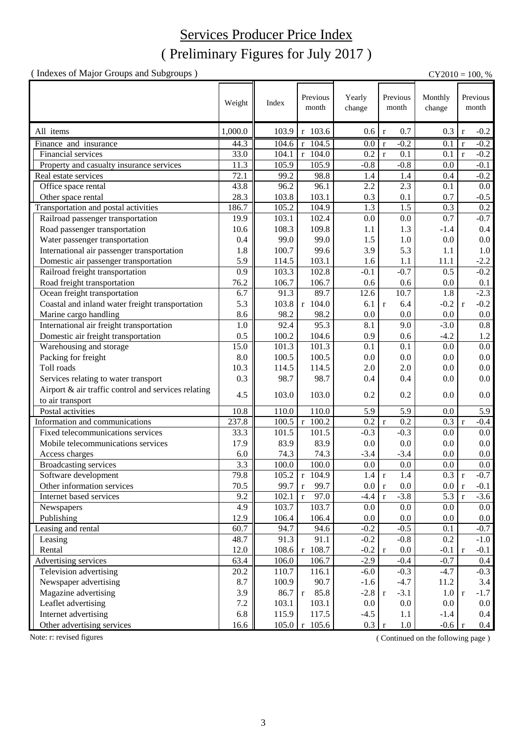## ( Preliminary Figures for July 2017 ) Services Producer Price Index

(Indexes of Major Groups and Subgroups)  $CY2010 = 100, %$ 

|                                                     | Weight  |                   | Previous                  | Yearly       | Previous                | Monthly  |              | Previous |
|-----------------------------------------------------|---------|-------------------|---------------------------|--------------|-------------------------|----------|--------------|----------|
|                                                     |         | Index             | month                     | change       | month                   | change   |              | month    |
|                                                     |         |                   |                           |              |                         |          |              |          |
| All items                                           | 1,000.0 | 103.9             | r 103.6                   | 0.6          | 0.7<br>$\mathbf r$      | 0.3      | $\mathbf{r}$ | $-0.2$   |
| Finance and insurance                               | 44.3    | 104.6             | $r$ 104.5                 | 0.0          | $-0.2$<br>$\mathbf r$   | 0.1      | $\mathbf{r}$ | $-0.2$   |
| Financial services                                  | 33.0    | 104.1             | $r$ 104.0                 | 0.2          | 0.1<br>$\mathbf{r}$     | 0.1      | $\mathbf{r}$ | $-0.2$   |
| Property and casualty insurance services            | 11.3    | 105.9             | 105.9                     | $-0.8$       | $-0.8$                  | 0.0      |              | $-0.1$   |
| Real estate services                                | 72.1    | 99.2              | 98.8                      | 1.4          | 1.4                     | 0.4      |              | $-0.2$   |
| Office space rental                                 | 43.8    | 96.2              | 96.1                      | 2.2          | 2.3                     | 0.1      |              | 0.0      |
| Other space rental                                  | 28.3    | 103.8             | 103.1                     | 0.3          | 0.1                     | 0.7      |              | $-0.5$   |
| Transportation and postal activities                | 186.7   | 105.2             | 104.9                     | 1.3          | 1.5                     | 0.3      |              | 0.2      |
| Railroad passenger transportation                   | 19.9    | 103.1             | 102.4                     | 0.0          | 0.0                     | 0.7      |              | $-0.7$   |
| Road passenger transportation                       | 10.6    | 108.3             | 109.8                     | 1.1          | 1.3                     | $-1.4$   |              | 0.4      |
| Water passenger transportation                      | 0.4     | 99.0              | 99.0                      | 1.5          | 1.0                     | 0.0      |              | 0.0      |
| International air passenger transportation          | 1.8     | 100.7             | 99.6                      | 3.9          | 5.3                     | 1.1      |              | $1.0\,$  |
| Domestic air passenger transportation               | 5.9     | 114.5             | 103.1                     | 1.6          | 1.1                     | 11.1     |              | $-2.2$   |
| Railroad freight transportation                     | 0.9     | 103.3             | 102.8                     | $-0.1$       | $-0.7$                  | 0.5      |              | $-0.2$   |
| Road freight transportation                         | 76.2    | 106.7             | 106.7                     | 0.6          | 0.6                     | 0.0      |              | 0.1      |
| Ocean freight transportation                        | 6.7     | $91.\overline{3}$ | 89.7                      | 12.6         | 10.7                    | 1.8      |              | $-2.3$   |
| Coastal and inland water freight transportation     | 5.3     | 103.8             | $r$ 104.0                 | 6.1          | 6.4<br>$\mathbf r$      | $-0.2$   | $\mathbf{r}$ | $-0.2$   |
| Marine cargo handling                               | 8.6     | 98.2              | 98.2                      | 0.0          | 0.0                     | 0.0      |              | $0.0\,$  |
| International air freight transportation            | 1.0     | 92.4              | 95.3                      | 8.1          | 9.0                     | $-3.0$   |              | $0.8\,$  |
| Domestic air freight transportation                 | 0.5     | 100.2             | 104.6                     | 0.9          | 0.6                     | $-4.2$   |              | 1.2      |
| Warehousing and storage                             | 15.0    | 101.3             | 101.3                     | 0.1          | 0.1                     | 0.0      |              | $0.0\,$  |
| Packing for freight                                 | 8.0     | 100.5             | 100.5                     | 0.0          | 0.0                     | 0.0      |              | 0.0      |
| Toll roads                                          | 10.3    | 114.5             | 114.5                     | 2.0          | 2.0                     | 0.0      |              | 0.0      |
| Services relating to water transport                | 0.3     | 98.7              | 98.7                      | 0.4          | 0.4                     | 0.0      |              | 0.0      |
| Airport & air traffic control and services relating |         |                   |                           |              |                         |          |              |          |
| to air transport                                    | 4.5     | 103.0             | 103.0                     | 0.2          | 0.2                     | 0.0      |              | 0.0      |
| Postal activities                                   | 10.8    | 110.0             | 110.0                     | 5.9          | 5.9                     | 0.0      |              | 5.9      |
| Information and communications                      | 237.8   | $100.5 \mid r$    | 100.2                     | 0.2          | 0.2<br>$\mathbf r$      | 0.3      | $\mathbf{r}$ | $-0.4$   |
| Fixed telecommunications services                   | 33.3    | 101.5             | 101.5                     | $-0.3$       | $-0.3$                  | 0.0      |              | 0.0      |
| Mobile telecommunications services                  | 17.9    | 83.9              | 83.9                      | 0.0          | 0.0                     | 0.0      |              | 0.0      |
| Access charges                                      | 6.0     | 74.3              | 74.3                      | $-3.4$       | $-3.4$                  | 0.0      |              | 0.0      |
| <b>Broadcasting services</b>                        | 3.3     | 100.0             | 100.0                     | 0.0          | 0.0                     | 0.0      |              | 0.0      |
| Software development                                | 79.8    | 105.2             | $r$ 104.9                 | $1.4 \mid r$ | 1.4                     | 0.3      | $\mathbf r$  | $-0.7$   |
| Other information services                          | 70.5    | 99.7              | 99.7<br>$\mathbf{r}$      | 0.0          | $0.0\,$<br>$\mathbf{r}$ | $0.0\,$  | l r          | $-0.1$   |
| Internet based services                             | 9.2     | 102.1             | 97.0<br>$\mathbf r$       | $-4.4$       | $-3.8$<br>$\mathbf r$   | 5.3      | $\mathbf{r}$ | $-3.6$   |
| Newspapers                                          | 4.9     | 103.7             | 103.7                     | 0.0          | 0.0                     | 0.0      |              | $0.0\,$  |
| Publishing                                          | 12.9    | 106.4             | 106.4                     | 0.0          | 0.0                     | 0.0      |              | $0.0\,$  |
| Leasing and rental                                  | 60.7    | 94.7              | 94.6                      | $-0.2$       | $-0.5$                  | 0.1      |              | $-0.7$   |
| Leasing                                             | 48.7    | 91.3              | 91.1                      | $-0.2$       | $-0.8$                  | 0.2      |              | $-1.0$   |
| Rental                                              | 12.0    | 108.6             | r 108.7                   | $-0.2$       | 0.0<br>$\mathbf{r}$     | $-0.1$   | $\mathbf{r}$ | $-0.1$   |
| Advertising services                                | 63.4    | 106.0             | 106.7                     | $-2.9$       | $-0.4$                  | $-0.7$   |              | 0.4      |
| Television advertising                              | 20.2    | 110.7             | 116.1                     | $-6.0$       | $-0.3$                  | $-4.7$   |              | $-0.3$   |
| Newspaper advertising                               | 8.7     | 100.9             | 90.7                      | $-1.6$       | $-4.7$                  | 11.2     |              | 3.4      |
| Magazine advertising                                | 3.9     | 86.7              | 85.8<br>$\mathbf r$       | $-2.8$       | $-3.1$<br>$\mathbf{r}$  | 1.0      | $\mathbf{r}$ | $-1.7$   |
| Leaflet advertising                                 | 7.2     | 103.1             | 103.1                     | 0.0          | 0.0                     | 0.0      |              | $0.0\,$  |
| Internet advertising                                | 6.8     | 115.9             | 117.5                     | $-4.5$       | 1.1                     | $-1.4$   |              | $0.4\,$  |
| Other advertising services                          | 16.6    |                   | $105.0 \mid r \mid 105.6$ | 0.3          | 1.0<br>$\mathbf r$      | $-0.6$ r |              | 0.4      |

Note: r: revised figures (Continued on the following page)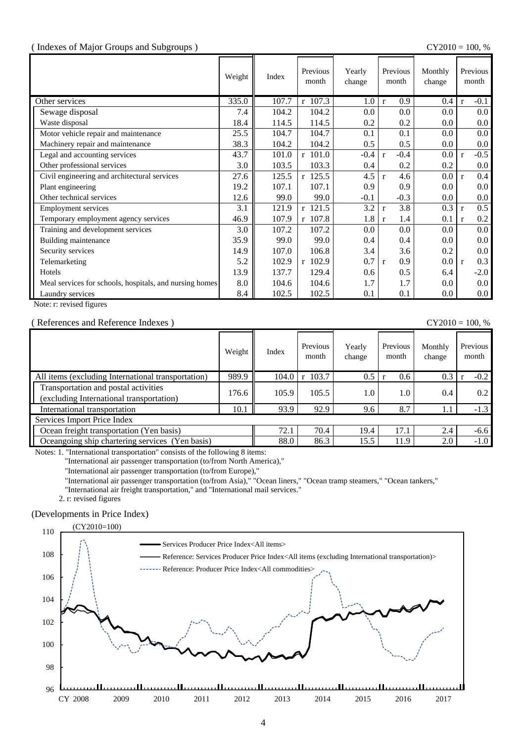#### ( Indexes of Major Groups and Subgroups ) CY2010 = 100, %

|                                                         | Weight | Index | Previous<br>month | Yearly<br>change | Previous<br>month      | Monthly<br>change |              | Previous<br>month |
|---------------------------------------------------------|--------|-------|-------------------|------------------|------------------------|-------------------|--------------|-------------------|
| Other services                                          | 335.0  | 107.7 | r 107.3           | 1.0              | 0.9<br>$\mathbf{r}$    | 0.4               | $\mathbf{r}$ | $-0.1$            |
| Sewage disposal                                         | 7.4    | 104.2 | 104.2             | 0.0              | 0.0                    | 0.0               |              | $0.0\,$           |
| Waste disposal                                          | 18.4   | 114.5 | 114.5             | 0.2              | 0.2                    | 0.0               |              | $0.0\,$           |
| Motor vehicle repair and maintenance                    | 25.5   | 104.7 | 104.7             | 0.1              | 0.1                    | 0.0               |              | $0.0\,$           |
| Machinery repair and maintenance                        | 38.3   | 104.2 | 104.2             | 0.5              | 0.5                    | 0.0               |              | $0.0\,$           |
| Legal and accounting services                           | 43.7   | 101.0 | r 101.0           | $-0.4$           | $-0.4$<br>$\mathbf{r}$ | $0.0\,$           | $\mathbf{r}$ | $-0.5$            |
| Other professional services                             | 3.0    | 103.5 | 103.3             | 0.4              | 0.2                    | 0.2               |              | $0.0\,$           |
| Civil engineering and architectural services            | 27.6   | 125.5 | $r$ 125.5         | 4.5              | 4.6<br>$\mathbf{r}$    | 0.0               | $\mathbf{r}$ | 0.4               |
| Plant engineering                                       | 19.2   | 107.1 | 107.1             | 0.9              | 0.9                    | 0.0               |              | $0.0\,$           |
| Other technical services                                | 12.6   | 99.0  | 99.0              | $-0.1$           | $-0.3$                 | 0.0               |              | $0.0\,$           |
| <b>Employment services</b>                              | 3.1    | 121.9 | r 121.5           | 3.2              | 3.8<br>$\mathbf{r}$    | 0.3               | $\mathbf{r}$ | 0.5               |
| Temporary employment agency services                    | 46.9   | 107.9 | $r$ 107.8         | 1.8              | 1.4<br>$\mathbf{r}$    | 0.1               | $\mathbf{r}$ | 0.2               |
| Training and development services                       | 3.0    | 107.2 | 107.2             | 0.0              | 0.0                    | 0.0               |              | $0.0\,$           |
| Building maintenance                                    | 35.9   | 99.0  | 99.0              | 0.4              | 0.4                    | 0.0               |              | $0.0\,$           |
| Security services                                       | 14.9   | 107.0 | 106.8             | 3.4              | 3.6                    | 0.2               |              | $0.0\,$           |
| Telemarketing                                           | 5.2    | 102.9 | r 102.9           | 0.7              | 0.9<br>$\mathbf{r}$    | $0.0\,$           | r            | 0.3               |
| Hotels                                                  | 13.9   | 137.7 | 129.4             | 0.6              | 0.5                    | 6.4               |              | $-2.0$            |
| Meal services for schools, hospitals, and nursing homes | 8.0    | 104.6 | 104.6             | 1.7              | 1.7                    | 0.0               |              | $0.0\,$           |
| Laundry services                                        | 8.4    | 102.5 | 102.5             | 0.1              | 0.1                    | $0.0\,$           |              | $0.0\,$           |

Note: r: revised figures

#### ( References and Reference Indexes ) CY2010 = 100, %

|                                                                                  | Weight | Index | Previous<br>month     | Yearly<br>change | Previous<br>month | Monthly<br>change | Previous<br>month |
|----------------------------------------------------------------------------------|--------|-------|-----------------------|------------------|-------------------|-------------------|-------------------|
| All items (excluding International transportation)                               | 989.9  | 104.0 | 103.7<br>$\mathbf{r}$ | 0.5              | 0.6               | 0.3               | $-0.2$            |
| Transportation and postal activities<br>(excluding International transportation) | 176.6  | 105.9 | 105.5                 | 1.0              | 1.0               | 0.4               | 0.2               |
| International transportation                                                     | 10.1   | 93.9  | 92.9                  | 9.6              | 8.7               | 1.1               | $-1.3$            |
| Services Import Price Index                                                      |        |       |                       |                  |                   |                   |                   |
| Ocean freight transportation (Yen basis)                                         | 72.1   | 70.4  | 19.4                  | 17.1             | 2.4               | $-6.6$            |                   |
| Oceangoing ship chartering services (Yen basis)                                  |        | 88.0  | 86.3                  | 15.5             | 11.9              | 2.0               | $-1.0$            |

Notes: 1. "International transportation" consists of the following 8 items:

"International air passenger transportation (to/from North America),"

"International air passenger transportation (to/from Europe),"

"International air passenger transportation (to/from Asia)," "Ocean liners," "Ocean tramp steamers," "Ocean tankers,"

"International air freight transportation," and "International mail services."

2. r: revised figures

### (Developments in Price Index)